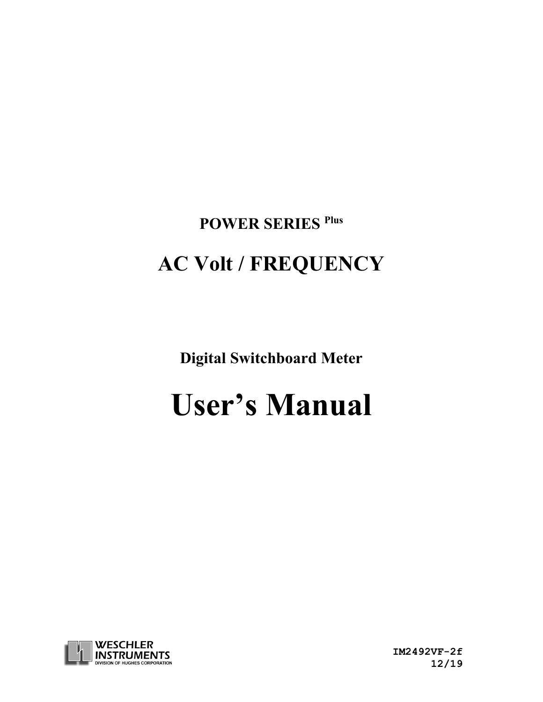# **POWER SERIES Plus**

# **AC Volt / FREQUENCY**

**Digital Switchboard Meter**

# **User's Manual**



 **IM2492VF-2f 12/19**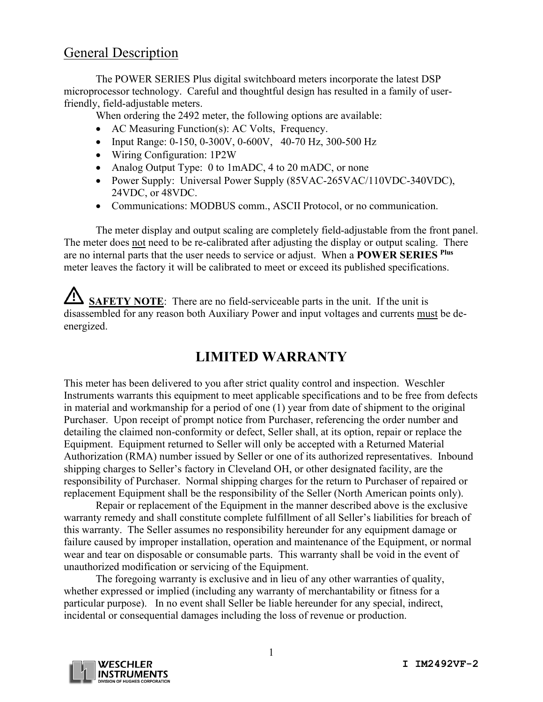#### General Description

The POWER SERIES Plus digital switchboard meters incorporate the latest DSP microprocessor technology. Careful and thoughtful design has resulted in a family of userfriendly, field-adjustable meters.

When ordering the 2492 meter, the following options are available:

- AC Measuring Function(s): AC Volts, Frequency.
- Input Range: 0-150, 0-300V, 0-600V, 40-70 Hz, 300-500 Hz
- Wiring Configuration: 1P2W
- Analog Output Type: 0 to 1mADC, 4 to 20 mADC, or none
- Power Supply: Universal Power Supply (85VAC-265VAC/110VDC-340VDC), 24VDC, or 48VDC.
- Communications: MODBUS comm., ASCII Protocol, or no communication.

The meter display and output scaling are completely field-adjustable from the front panel. The meter does not need to be re-calibrated after adjusting the display or output scaling. There are no internal parts that the user needs to service or adjust. When a **POWER SERIES Plus** meter leaves the factory it will be calibrated to meet or exceed its published specifications.

**SAFETY NOTE:** There are no field-serviceable parts in the unit. If the unit is disassembled for any reason both Auxiliary Power and input voltages and currents must be deenergized.

### **LIMITED WARRANTY**

This meter has been delivered to you after strict quality control and inspection. Weschler Instruments warrants this equipment to meet applicable specifications and to be free from defects in material and workmanship for a period of one (1) year from date of shipment to the original Purchaser. Upon receipt of prompt notice from Purchaser, referencing the order number and detailing the claimed non-conformity or defect, Seller shall, at its option, repair or replace the Equipment. Equipment returned to Seller will only be accepted with a Returned Material Authorization (RMA) number issued by Seller or one of its authorized representatives. Inbound shipping charges to Seller's factory in Cleveland OH, or other designated facility, are the responsibility of Purchaser. Normal shipping charges for the return to Purchaser of repaired or replacement Equipment shall be the responsibility of the Seller (North American points only).

Repair or replacement of the Equipment in the manner described above is the exclusive warranty remedy and shall constitute complete fulfillment of all Seller's liabilities for breach of this warranty. The Seller assumes no responsibility hereunder for any equipment damage or failure caused by improper installation, operation and maintenance of the Equipment, or normal wear and tear on disposable or consumable parts. This warranty shall be void in the event of unauthorized modification or servicing of the Equipment.

The foregoing warranty is exclusive and in lieu of any other warranties of quality, whether expressed or implied (including any warranty of merchantability or fitness for a particular purpose). In no event shall Seller be liable hereunder for any special, indirect, incidental or consequential damages including the loss of revenue or production.

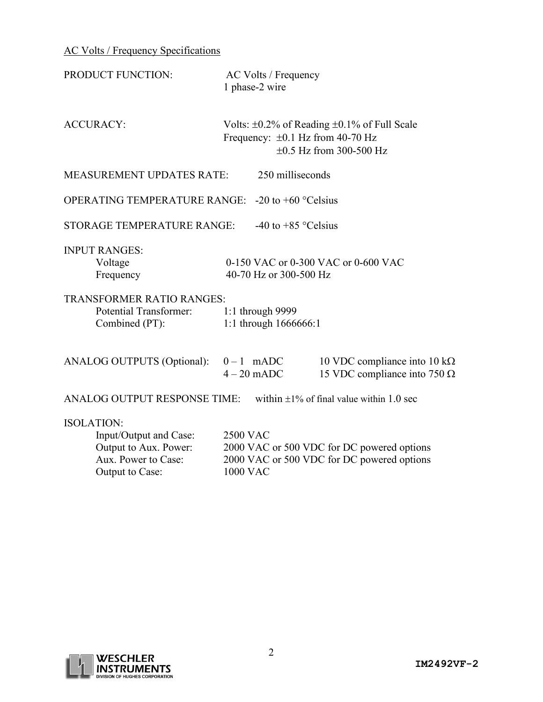AC Volts / Frequency Specifications

| PRODUCT FUNCTION:                                                                                              | AC Volts / Frequency<br>1 phase-2 wire                                                                                           |  |  |  |  |
|----------------------------------------------------------------------------------------------------------------|----------------------------------------------------------------------------------------------------------------------------------|--|--|--|--|
| <b>ACCURACY:</b>                                                                                               | Volts: $\pm 0.2\%$ of Reading $\pm 0.1\%$ of Full Scale<br>Frequency: $\pm 0.1$ Hz from 40-70 Hz<br>$\pm 0.5$ Hz from 300-500 Hz |  |  |  |  |
| <b>MEASUREMENT UPDATES RATE:</b>                                                                               | 250 milliseconds                                                                                                                 |  |  |  |  |
| OPERATING TEMPERATURE RANGE:                                                                                   | -20 to $+60$ °Celsius                                                                                                            |  |  |  |  |
| <b>STORAGE TEMPERATURE RANGE:</b>                                                                              | -40 to $+85$ °Celsius                                                                                                            |  |  |  |  |
| <b>INPUT RANGES:</b><br>Voltage<br>Frequency                                                                   | 0-150 VAC or 0-300 VAC or 0-600 VAC<br>40-70 Hz or 300-500 Hz                                                                    |  |  |  |  |
| <b>TRANSFORMER RATIO RANGES:</b><br><b>Potential Transformer:</b><br>Combined (PT):                            | 1:1 through 9999<br>1:1 through 1666666:1                                                                                        |  |  |  |  |
| ANALOG OUTPUTS (Optional):                                                                                     | $0-1$ mADC<br>10 VDC compliance into 10 k $\Omega$<br>15 VDC compliance into 750 $\Omega$<br>$4-20$ mADC                         |  |  |  |  |
| <b>ANALOG OUTPUT RESPONSE TIME:</b>                                                                            | within $\pm 1\%$ of final value within 1.0 sec                                                                                   |  |  |  |  |
| <b>ISOLATION:</b><br>Input/Output and Case:<br>Output to Aux. Power:<br>Aux. Power to Case:<br>Output to Case: | <b>2500 VAC</b><br>2000 VAC or 500 VDC for DC powered options<br>2000 VAC or 500 VDC for DC powered options<br><b>1000 VAC</b>   |  |  |  |  |

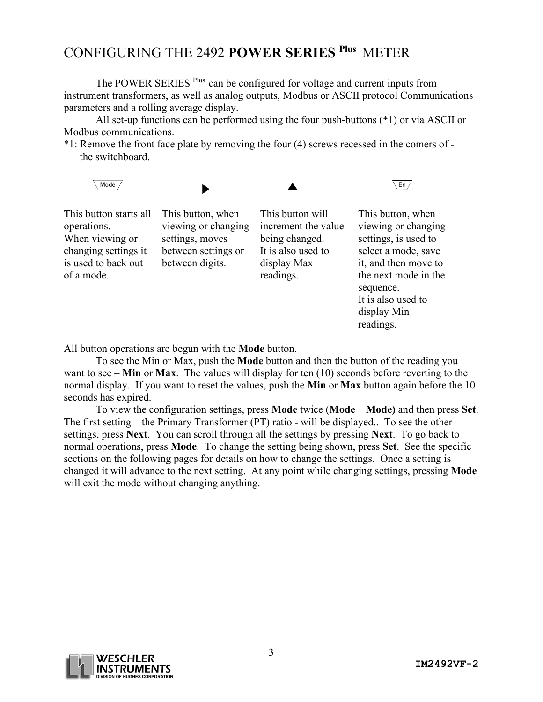## CONFIGURING THE 2492 **POWER SERIES Plus** METER

The POWER SERIES <sup>Plus</sup> can be configured for voltage and current inputs from instrument transformers, as well as analog outputs, Modbus or ASCII protocol Communications parameters and a rolling average display.

All set-up functions can be performed using the four push-buttons (\*1) or via ASCII or Modbus communications.

\*1: Remove the front face plate by removing the four (4) screws recessed in the comers of the switchboard.



All button operations are begun with the **Mode** button.

of a mode.

To see the Min or Max, push the **Mode** button and then the button of the reading you want to see – **Min** or **Max**. The values will display for ten (10) seconds before reverting to the normal display. If you want to reset the values, push the **Min** or **Max** button again before the 10 seconds has expired.

readings.

To view the configuration settings, press **Mode** twice (**Mode** – **Mode)** and then press **Set**. The first setting – the Primary Transformer (PT) ratio - will be displayed.. To see the other settings, press **Next**. You can scroll through all the settings by pressing **Next**. To go back to normal operations, press **Mode**. To change the setting being shown, press **Set**. See the specific sections on the following pages for details on how to change the settings. Once a setting is changed it will advance to the next setting. At any point while changing settings, pressing **Mode** will exit the mode without changing anything.



the next mode in the

It is also used to display Min readings.

sequence.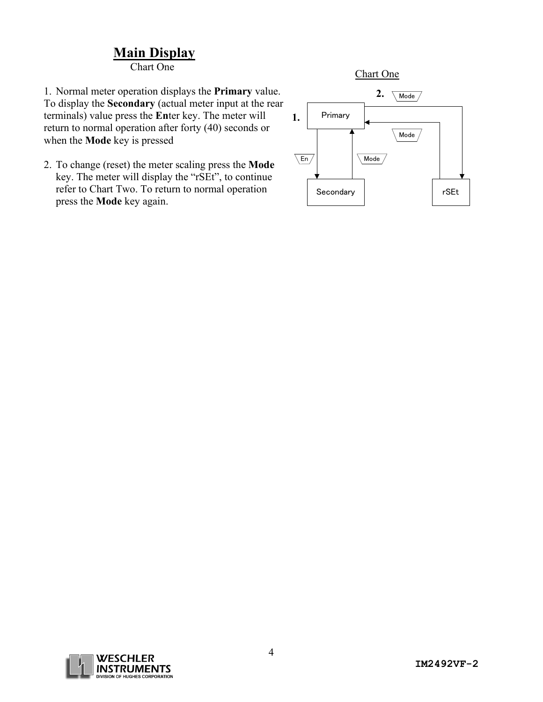## **Main Display**

Chart One

1. Normal meter operation displays the **Primary** value. To display the **Secondary** (actual meter input at the rear terminals) value press the **En**ter key. The meter will return to normal operation after forty (40) seconds or when the **Mode** key is pressed

2. To change (reset) the meter scaling press the **Mode** key. The meter will display the "rSEt", to continue refer to Chart Two. To return to normal operation press the **Mode** key again.



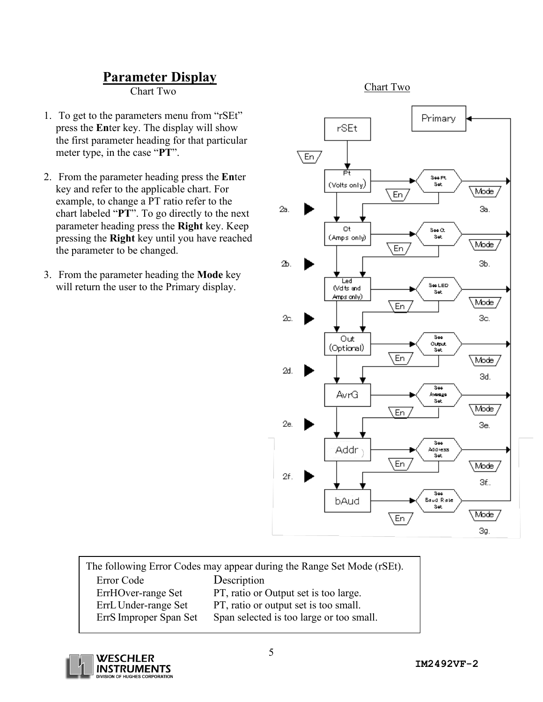#### **Parameter Display**

Chart Two

- 1. To get to the parameters menu from "rSEt" press the **En**ter key. The display will show the first parameter heading for that particular meter type, in the case "**PT**".
- 2. From the parameter heading press the **En**ter key and refer to the applicable chart. For example, to change a PT ratio refer to the chart labeled "**PT**". To go directly to the next parameter heading press the **Right** key. Keep pressing the **Right** key until you have reached the parameter to be changed.
- 3. From the parameter heading the **Mode** key will return the user to the Primary display.

#### Chart Two



| The following Error Codes may appear during the Range Set Mode (rSEt). |                                          |  |  |  |
|------------------------------------------------------------------------|------------------------------------------|--|--|--|
| Error Code                                                             | Description                              |  |  |  |
| ErrHOver-range Set                                                     | PT, ratio or Output set is too large.    |  |  |  |
| ErrL Under-range Set                                                   | PT, ratio or output set is too small.    |  |  |  |
| ErrS Improper Span Set                                                 | Span selected is too large or too small. |  |  |  |

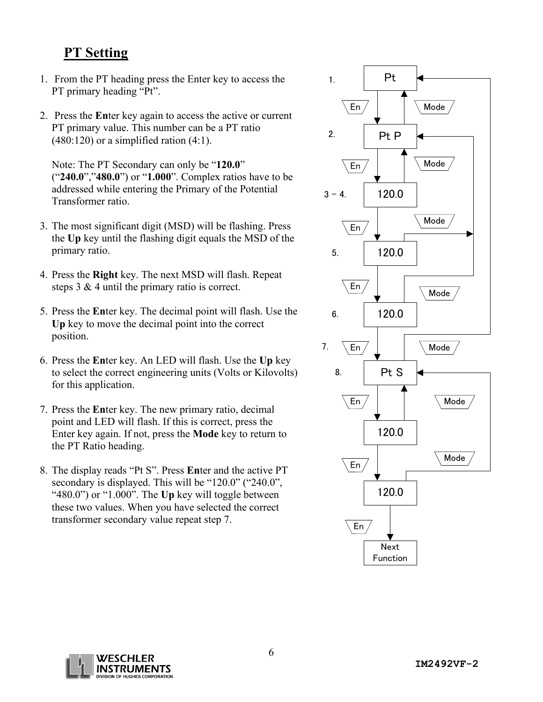#### **PT Setting**

- 1. From the PT heading press the Enter key to access the PT primary heading "Pt".
- 2. Press the **En**ter key again to access the active or current PT primary value. This number can be a PT ratio  $(480:120)$  or a simplified ration  $(4:1)$ .

Note: The PT Secondary can only be "**120.0**" ("**240.0**","**480.0**") or "**1.000**". Complex ratios have to be addressed while entering the Primary of the Potential Transformer ratio.

- 3. The most significant digit (MSD) will be flashing. Press the **Up** key until the flashing digit equals the MSD of the primary ratio.
- 4. Press the **Right** key. The next MSD will flash. Repeat steps 3 & 4 until the primary ratio is correct.
- 5. Press the **En**ter key. The decimal point will flash. Use the **Up** key to move the decimal point into the correct position.
- 6. Press the **En**ter key. An LED will flash. Use the **Up** key to select the correct engineering units (Volts or Kilovolts) for this application.
- 7. Press the **En**ter key. The new primary ratio, decimal point and LED will flash. If this is correct, press the Enter key again. If not, press the **Mode** key to return to the PT Ratio heading.
- 8. The display reads "Pt S". Press **En**ter and the active PT secondary is displayed. This will be "120.0" ("240.0", "480.0") or "1.000". The **Up** key will toggle between these two values. When you have selected the correct transformer secondary value repeat step 7.



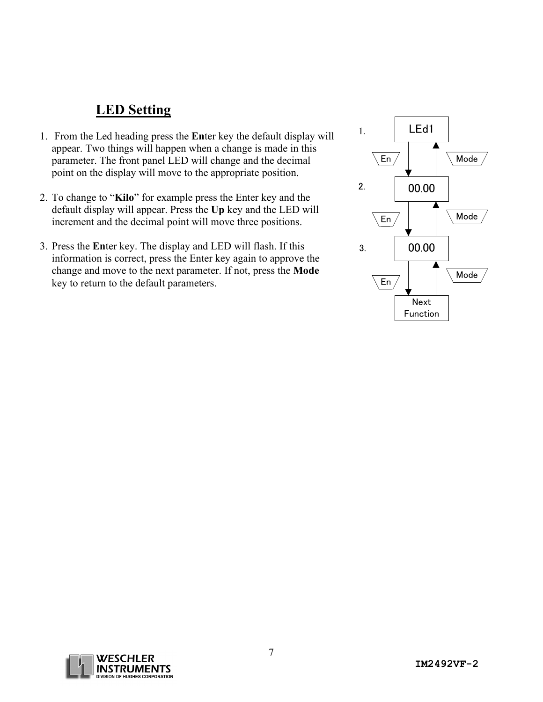#### **LED Setting**

- 1. From the Led heading press the **En**ter key the default display will appear. Two things will happen when a change is made in this parameter. The front panel LED will change and the decimal point on the display will move to the appropriate position.
- 2. To change to "**Kilo**" for example press the Enter key and the default display will appear. Press the **Up** key and the LED will increment and the decimal point will move three positions.
- 3. Press the **En**ter key. The display and LED will flash. If this information is correct, press the Enter key again to approve the change and move to the next parameter. If not, press the **Mode** key to return to the default parameters.



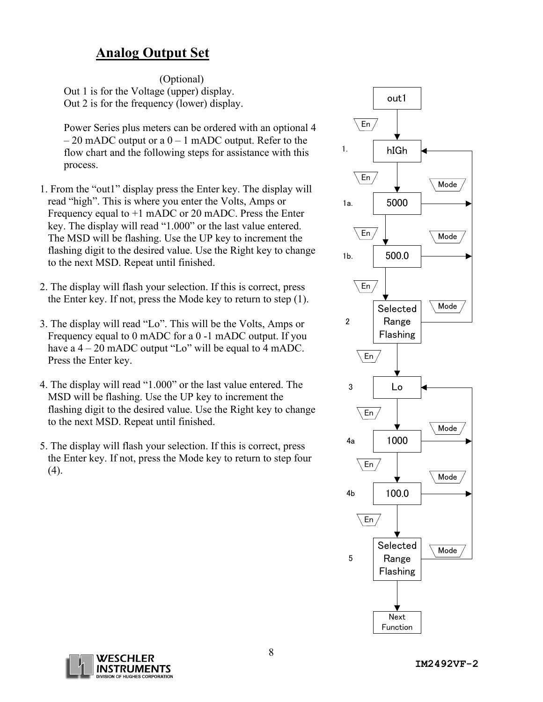#### **Analog Output Set**

(Optional) Out 1 is for the Voltage (upper) display. Out 2 is for the frequency (lower) display.

Power Series plus meters can be ordered with an optional 4  $-20$  mADC output or a  $0 - 1$  mADC output. Refer to the flow chart and the following steps for assistance with this process.

- 1. From the "out1" display press the Enter key. The display will read "high". This is where you enter the Volts, Amps or Frequency equal to +1 mADC or 20 mADC. Press the Enter key. The display will read "1.000" or the last value entered. The MSD will be flashing. Use the UP key to increment the flashing digit to the desired value. Use the Right key to change to the next MSD. Repeat until finished.
- 2. The display will flash your selection. If this is correct, press the Enter key. If not, press the Mode key to return to step (1).
- 3. The display will read "Lo". This will be the Volts, Amps or Frequency equal to 0 mADC for a 0 -1 mADC output. If you have a  $4 - 20$  mADC output "Lo" will be equal to  $4$  mADC. Press the Enter key.
- 4. The display will read "1.000" or the last value entered. The MSD will be flashing. Use the UP key to increment the flashing digit to the desired value. Use the Right key to change to the next MSD. Repeat until finished.
- 5. The display will flash your selection. If this is correct, press the Enter key. If not, press the Mode key to return to step four (4).



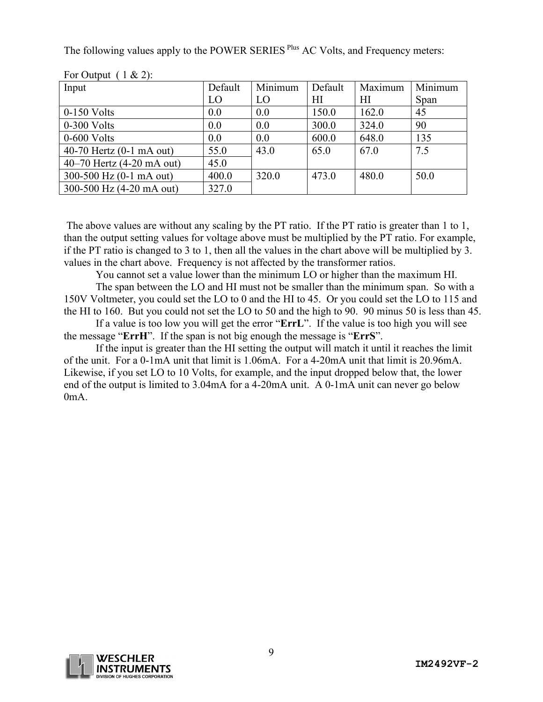The following values apply to the POWER SERIES <sup>Plus</sup> AC Volts, and Frequency meters:

| Input                      | Default | Minimum | Default | Maximum | Minimum |
|----------------------------|---------|---------|---------|---------|---------|
|                            | LO      | LO      | HІ      | ΗΙ      | Span    |
| $0-150$ Volts              | 0.0     | 0.0     | 150.0   | 162.0   | 45      |
| $0-300$ Volts              | 0.0     | 0.0     | 300.0   | 324.0   | 90      |
| $0-600$ Volts              | 0.0     | 0.0     | 600.0   | 648.0   | 135     |
| 40-70 Hertz $(0-1$ mA out) | 55.0    | 43.0    | 65.0    | 67.0    | 7.5     |
| 40–70 Hertz (4-20 mA out)  | 45.0    |         |         |         |         |
| 300-500 Hz $(0-1$ mA out)  | 400.0   | 320.0   | 473.0   | 480.0   | 50.0    |
| 300-500 Hz (4-20 mA out)   | 327.0   |         |         |         |         |

For Output  $(1 \& 2)$ :

The above values are without any scaling by the PT ratio. If the PT ratio is greater than 1 to 1, than the output setting values for voltage above must be multiplied by the PT ratio. For example, if the PT ratio is changed to 3 to 1, then all the values in the chart above will be multiplied by 3. values in the chart above. Frequency is not affected by the transformer ratios.

You cannot set a value lower than the minimum LO or higher than the maximum HI. The span between the LO and HI must not be smaller than the minimum span. So with a 150V Voltmeter, you could set the LO to 0 and the HI to 45. Or you could set the LO to 115 and the HI to 160. But you could not set the LO to 50 and the high to 90. 90 minus 50 is less than 45.

If a value is too low you will get the error "**ErrL**". If the value is too high you will see the message "**ErrH**". If the span is not big enough the message is "**ErrS**".

If the input is greater than the HI setting the output will match it until it reaches the limit of the unit. For a 0-1mA unit that limit is 1.06mA. For a 4-20mA unit that limit is 20.96mA. Likewise, if you set LO to 10 Volts, for example, and the input dropped below that, the lower end of the output is limited to 3.04mA for a 4-20mA unit. A 0-1mA unit can never go below 0mA.

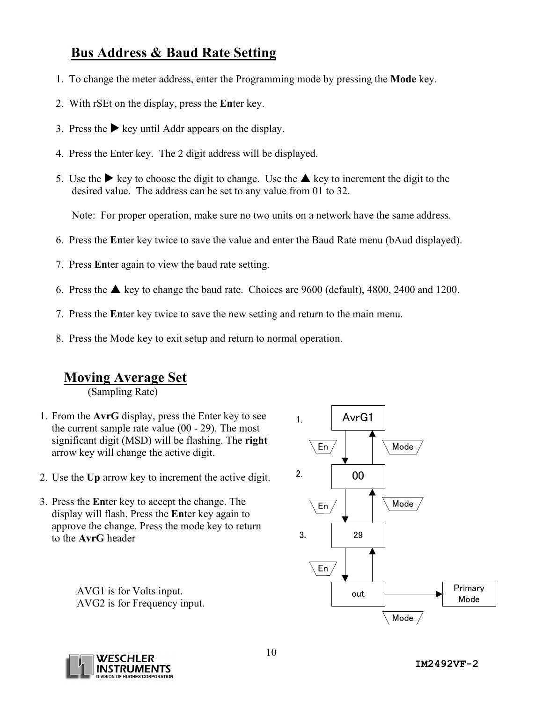#### **Bus Address & Baud Rate Setting**

- 1. To change the meter address, enter the Programming mode by pressing the **Mode** key.
- 2. With rSEt on the display, press the **En**ter key.
- 3. Press the  $\blacktriangleright$  key until Addr appears on the display.
- 4. Press the Enter key. The 2 digit address will be displayed.
- 5. Use the  $\blacktriangleright$  key to choose the digit to change. Use the  $\blacktriangle$  key to increment the digit to the desired value. The address can be set to any value from 01 to 32.

Note: For proper operation, make sure no two units on a network have the same address.

- 6. Press the **En**ter key twice to save the value and enter the Baud Rate menu (bAud displayed).
- 7. Press **En**ter again to view the baud rate setting.
- 6. Press the  $\triangle$  key to change the baud rate. Choices are 9600 (default), 4800, 2400 and 1200.
- 7. Press the **En**ter key twice to save the new setting and return to the main menu.
- 8. Press the Mode key to exit setup and return to normal operation.

#### **Moving Average Set**

(Sampling Rate)

- 1. From the **AvrG** display, press the Enter key to see the current sample rate value (00 - 29). The most significant digit (MSD) will be flashing. The **right** arrow key will change the active digit.
- 2. Use the **Up** arrow key to increment the active digit.
- 3. Press the **En**ter key to accept the change. The display will flash. Press the **En**ter key again to approve the change. Press the mode key to return to the **AvrG** header

AVG2 is for Frequency input.



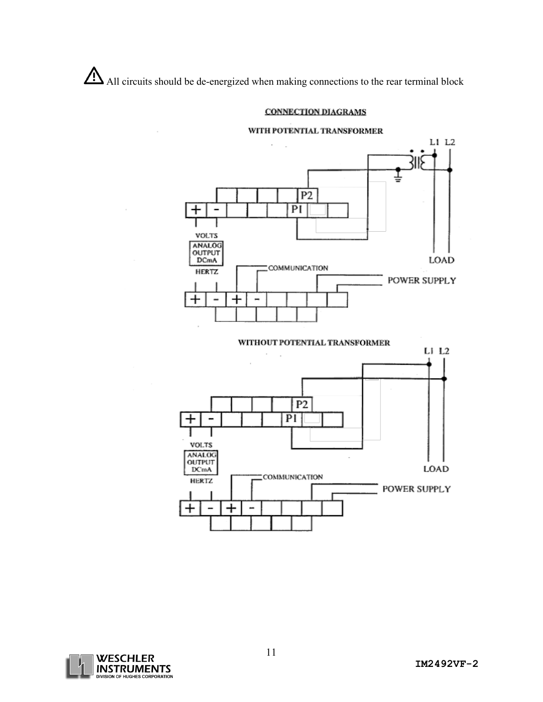All circuits should be de-energized when making connections to the rear terminal block

 $\overline{\phantom{a}}$ 

#### **CONNECTION DIAGRAMS**

#### WITH POTENTIAL TRANSFORMER